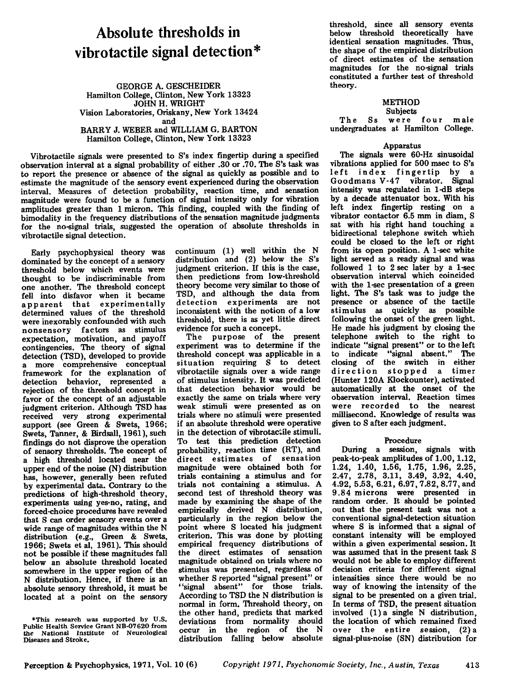# **Absolute thresholds in vibrotactile signal detection\***

GEORGE A. GESCHEIDER Hamilton College, Clinton, New York 13323 JOHN H. WRIGHT Vision Laboratories, Oriskany, New York 13424 and BARRY J. WEBER and WILLIAM G. BARTON Hamilton College, Clinton, New York 13323

Vibrotactile signals were presented to S's index fingertip during a specified observation interval at a signal probability of either .30 or .70. The S's task was to report the presence or absence of the signal as quickly as possible and to estimate the magnitude of the sensory event experienced during the observation interval. Measures of detection probability, reaction time, and sensation magnitude were found to be a function of signal intensity only for vibration amplitudes greater than 1 micron. This finding, coupled with the finding of bimodality in the frequency distributions of the sensation magnitude judgments for the no-signal trials, suggested the operation of absolute thresholds in vibrotactile signal detection.

Early psychophysical theory was dominated by the concept of a sensory threshold below which events were thought to be indiscriminable from one another. The threshold concept fell into disfavor when it became a p p arent that experimentally determined values of the threshold were inexorably confounded with such nonsensory factors as stimulus expectation, motivation, and payoff contingencies. The theory of signal detection (TSD), developed to provide a more comprehensive conceptual framework for the explanation of detection behavior, represented a rejection of the threshold concept in favor of the concept of an adjustable judgment criterion. Although TSD has received very strong experimental support (see Green & Swets, 1966; Swets, Tanner, & Birdsall, 1961), such findings do not disprove the operation of sensory thresholds. The concept of a high threshold located near the upper end of the noise (N) distribution has, however, generally been refuted by experimental data. Contrary to the predictions of high-threshold theory, experiments using yes-no, rating, and forced-ehoice procedures have revealed that S can order sensory events over a wide range of magnitudes within the N distribution (e.g., Green & Swets, 1966; Swets et al, 1961). This should not be possible if these magnitudes fall below an absolute threshold located somewhere in the upper region of the N distribution. Hence, if there is an absolute sensory threshold, it must be located at a point on the sensory

continuum (1) well within the N distribution and (2) below the S's judgment criterion. If this is the case, then predictions from low-threshold theory become very similar to those of TSD, and although the data from detection experiments are not inconsistent with the notion of a low threshold, there is as yet little direct evidence for such a concept.

The purpose of the present experiment was to determine if the threshold concept was applicable in a situation requiring S to detect vibrotactile signals over a wide range of stimulus intensity. It was predicted that detection behavior would be exactly the same on trials where very weak stimuli were presented as on trials where no stimuli were presented if an absolute threshold were operative in the detection of vibrotactile stimuli. To test this prediction detection probability, reaction time (RT), and direct estimates of sensation magnitude were obtained both for trials containing a stimulus and for trials not containing a stimulus. A second test of threshold theory was made by examining the shape of the empirically derived N distribution, particularly in the region below the point where S located his judgment criterion. This was done by plotting empirical frequency distributions of the direct estimates of sensation magnitude obtained on trials where no stimulus was presented, regardless of whether S reported "signal present" or "signal absent" for those trials. According to TSD the N distribution is normal in form. Threshold theory, on the other hand, predicts that marked deviations from normality should occur in the region of the N distribution falling below absolute

threshold, since all sensory events below threshold theoretically have identical sensation magnitudes. Thus, the shape of the empirical distribution of direct estimates of the sensation magnitudes for the no-signal trials constituted a further test of threshold theory.

#### METHOD Subjects

The Ss were four male undergraduates at Hamilton College.

## Apparatus

The signals were 60-Hz sinusoidal vibrations applied for 500 msec to S's left index fingertip by a Goodmans V-47 vibrator. Signal intensity was regulated in I-dB steps by a decade attenuator box. With his left index fingertip resting on a vibrator eontactor 6.5 mm in diam, S sat with his right hand touching a bidirectional telephone switch which could be closed to the left or right from its open position. A 1-sec white light served as a ready signal and was followed 1 to 2 sec later by a 1-sec observation interval which coincided with the 1-sec presentation of a green light. The S's task was to judge the presence or absence of the tactile stimulus as quickly as possible following the onset of the green light. He made his judgment by closing the telephone switch to the right to indicate "signal present" or to the left to indicate "signal absent." The closing of the switch in either direction stopped a timer (Hunter 120A Klockounter), activated automatically at the onset of the observation interval. Reaction times were recorded to the nearest millisecond. Knowledge of results was given to S after each judgment.

## Procedure

During a session, signals with peak-to-peak amplitudes of 1.00, 1.12, 1.24, 1.40, 1.56, 1.75, 1.96, 2.25, 2.47, 2.78, 3.11, 3.49, 3.92, 4.40, 4.92,5.53,6021,6.97,7.82,8.77, and 9.84 microns were presented in random order. It should be pointed out that the present task was not a conventional signal-detection situation where S is informed that a signal of constant intensity will be employed within a given experimental session. It was assumed that in the present task S would not be able to employ different decision criteria for different signal intensities since there would be no way of knowing the intensity of the signal to be presented on a given trial. In terms of TSD, the present situation involved (1) a single N distribution, the location of which remained fixed over the entire session, (2) a signal-plus-noise (SN) distribution for

<sup>\*</sup>This research was supported by U.S. Public Health Service Grant NB-07620 from the National Institute of Neurological Diseases and Stroke.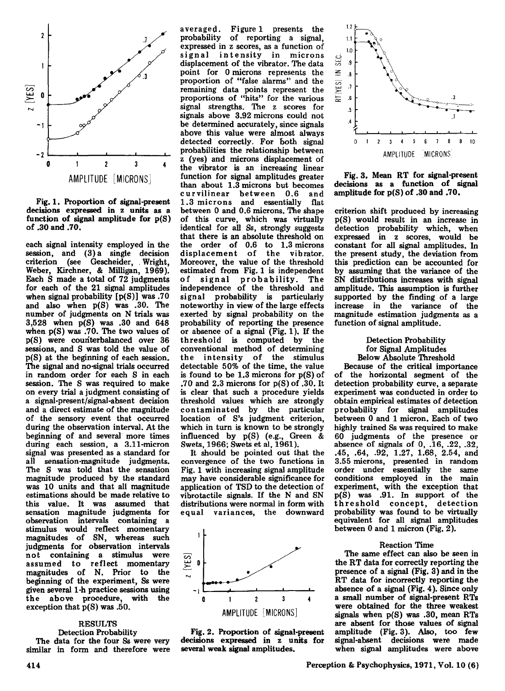

Fig. 1. Proportion of signal-present<br>decisions expressed in z units as a function of signal amplitude for  $p(S)$ of .30 and .70.

each signal intensity employed in the session, and (3) a single decision criterion (see Gescheider,. Wright, Weber, Kirchner, & Milligan, 1969). Each S made a total of 72 judgments for each of the 21 signal amplitudes when signal probability  $[p(S)]$  was .70 and also when  $p(S)$  was .30. The number of judgments on N trials was  $3,528$  when  $p(S)$  was .30 and  $648$ when  $p(S)$  was .70. The two values of  $p(S)$  were counterbalanced over 36 sessions, and S was told the value of  $p(S)$  at the beginning of each session. The signal and no-signal trials occurred in random order for each S in each session. The S was required to make on every trial a judgment consisting of a signal-present/signal-absent decision and a direct estimate of the magnitude of the sensory event that occurred during the observation interval. At the beginning of and several' more times during each session, a 3.11-micron signal was presented as a standard for all sensation-magnitude judgments, The S was told that the sensation magnitude produced by the standard was 10 units and that all magnitude estimations should be made relative to this value. It was assumed that sensation magnitude judgments for observation intervals containing a stimulus would reflect momentary magnitudes of SN, whereas such judgments for observation intervals<br>not containing a stimulus were not containing a stimulus assumed to reflect momentary magnitudes of N. Prior to the beginning of the experiment, Ss were given several 1-h practice sessions using the above procedure, with the exception that  $p(S)$  was .50.

RESULTS Detection Probability The data for the four Ss were very similar in form and therefore were

averaged. Figure 1 presents the probability of reporting a signal, expressed in z scores, as a function of signal intensity in microns displacement of the vibrator. The data point for 0 microns represents the proportion of "false alarms" and the remaining data points represent the proportions of "hits" for the various signal strengths. The z scores for signals above 3.92 microns could not be determined accurately, since signals above this value were almost always detected correctly. For both signal probabilities the relationship between z (yes) and microns displacement of the vibrator is an increasing linear function for signal amplitudes greater than about 1.3 microns but becomes cur vilinear between 0.6 and 1.3 microns and essentially flat between 0 and 0.6 microns. The shape of this curve, which was virtually identical for all Ss, strongly suggests that there is an absolute threshold on the order of 0.6 to 1.3 microns displacement of the vibrator. Moreover, the value of the threshold estimated from Fig. 1 is independent<br>of signal probability. The signal probability. The independence of the threshold and signal probability is particularly noteworthy in view of the large effects exerted by signal probability on the probability of reporting the presence or absence of a signal (Fig. 1). If the threshold is computed by the conventional method of determining the intensity of the stimulus detectable 50% of the time, the value is found to be  $1.3$  microns for  $p(S)$  of .70 and 2.3 microns for  $p(S)$  of .30. It is clear that such a procedure yields threshold values which are strongly contaminated by the particular location of S's judgment criterion, which in turn is known to be strongly influenced by  $p(S)$  (e.g., Green & Swets, 1966; Swets et al, 1961).

It should be pointed out that the convergence of the two functions in Fig. 1 with increasing signal amplitude may have considerable significance for application of TSD to the detection of vibrotactile signals. If the N and SN distributions were normal in form with<br>equal variances, the downward equal variances, the







Fig. 3. Mean RT for signal-present decisions as a function of signal amplitude for  $p(S)$  of .30 and .70.

criterion shift produced by increasing  $p(S)$  would result in an increase in detection probability which, when expressed in z scores, would be constant for all signal amplitudes. In the present study, the deviation from this prediction can be accounted for by assuming that the variance of the SN distributions increases with signal amplitude. This assumption is further supported by the finding of a large increase in the variance of the magnitude estimation judgments as a function of signal amplitude.

#### Detection Probability for Signal Amplitudes Below Absolute Threshold

Because of the critical importance of the horizontal segment of the detection probability curve, a separate experiment was conducted in order to obtain empirical estimates of detection probability for signal amplitudes between 0 and 1 micron. Each of two highly trained Ss was required to make <sup>60</sup> judgments of the presence or absence of signals of 0, .16, .22, .32, .45, .64, .92, 1.27, 1.68, 2.54, and 3.55 microns, presented in random conditions employed in the main experiment, with the exception that  $p(S)$  was .91. In support of the threshold concept, detection probability was found to be virtually equivalent for all signal amplitudes between 0 and 1 micron (Fig.  $2$ ).

#### Reaction Time

The same effect can also be seen in the RT data for correctly reporting the presence of a signal (Fig. 3) and in the RT data for incorrectly reporting the absence of a signal (Fig. 4). Since only a small number of signal-present RTs were obtained for the three weakest<br>signals when  $p(S)$  was .30, mean RTs are absent for those values of signal amplitude (Fig. 3). Also, too few signal-absent decisions were made when signal amplitudes were above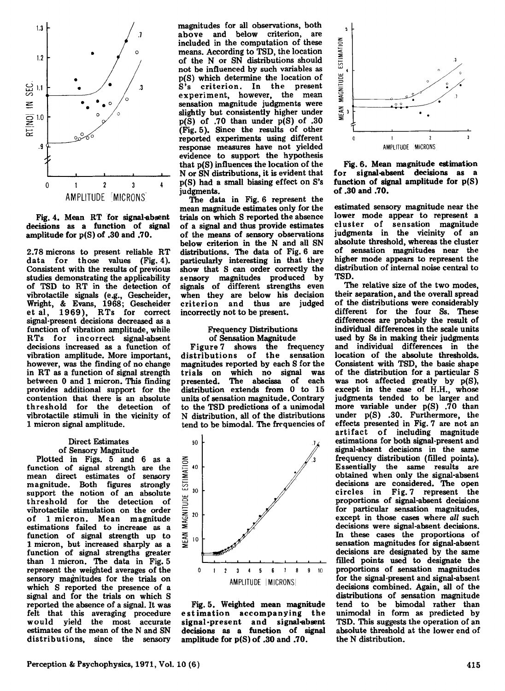

Fig.4. Mean RT for signal-absent decisions as a function of signal amplitude for p(S) of .30 and .70.

2.78 microns to present reliable RT data for those values (Fig. 4). Consistent with the results of previous studies demonstrating the applicability of TSD to RT in the detection of vibrotactile signals (e.g., Gescheider, Wright, & Evans, 1968; Gescheider<br>et al, 1969), RTs for correct signal-present decisions decreased as a function of vibration amplitude, while RTs for incorrect signal-absent decisions increased as a function of vibration amplitude. More important, however, was the finding of no change in RT as a function of signal strength between 0 and 1 micron. This finding provides additional support for the contention that there is an absolute threshold for the detection of vibrotactile stimuli in the vicinity of 1 micron signal amplitude.

#### Direct Estimates of Sensory Magnitude

Plotted in Figs. 5 and 6 as a function of signal strength are the mean direct estimates of sensory magnitude. Both figures strongly support the notion of an absolute threshold for the detection of vibrotactile stimulation on the order of 1 micron. Mean magnitude function of signal strength up to 1 micron, but increased sharply as a function of signal strengths greater than 1 micron. The data in Fig. 5 represent the weighted averages of the sensory magnitudes for the trials on<br>which S reported the presence of a signal and for the trials on which S<br>reported the absence of a signal. It was felt that this averaging procedure would yield the most accurate estimates of the mean of the N and SN distributions, since the sensory

magnitudes for all observations, both above and below criterion, are included in the computation of these means. According to TSD, the location of the N or SN distributions should not be influenced by such variables as p(S) which determine the location of S's criterion. In the present experiment, however, the mean sensation magnitude judgments were slightly but consistently higher under  $p(S)$  of .70 than under  $p(S)$  of .30 (Fig. 5). Since the results of other reported experiments using different response measures have not yielded evidence to support the hypothesis that p(S) influences the location of the N or SN distributions, it is evident that p(S) had a small biasing effect on S's judgments.

The data in Fig. 6 represent the mean magnitude estimates only for the trials on which S reported the absence of a signal and thus provide estimates of the means of sensory observations below criterion in the N and all SN distributions. The data of Fig. 6 are particularly interesting in that they show that S can order correctly the sensory magnitudes produced by signals of different strengths even when they are below his decision criterion and thus are judged incorrectly not to be present.

#### Frequency Distributions of Sensation Magnitude

Figure 7 shows the frequency distributions of the sensation magnitudes reported by each S for the trials on which no signal was<br>presented. The abscissa of each The abscissa of each distribution extends from 0 to 15 units of sensation magnitude. Contrary to the TSD predictions of a unimodal N distribution, all of the distributions tend to be bimodal. The frequencies of







Fig. 6. Mean magnitude estimation for signal-absent decisions as a function of signal amplitude for p(S) of .30 and .70.

estimated sensory magnitude near the lower mode appear to represent a cluster of sensation magnitude judgments in the vicinity of an absolute threshold, whereas the cluster of sensation magnitudes near the higher mode appears to represent the distribution of internal noise central to TSD.

The relative size of the two modes, their separation, and the overall spread of the distributions were considerably different for the four Ss. These differences are probably the result of individual differences in the scale units used by Ss in making their judgments and individual differences in the location of the absolute thresholds. Consistent with TSD, the basic shape of the distribution for a particular  $S$  was not affected greatly by  $p(S)$ , except in the case of H.H., whose judgments tended to be larger and more variable under p(S) .70 than under  $p(S)$  .30. Furthermore, the effects presented in Fig. 7 are not an artifact of including magnitude estimations for both signal-present and signal-absent decisions in the same frequency distribution (filled points). Essentially the same results are obtained when only the signal-absent decisions are considered. The open circles in Fig.7 represent the proportions of signal-absent decisions for particular sensation magnitudes, except in those cases where *all* such decisions were signal-absent decisions. In these cases the proportions of sensation magnitudes for signal-absent decisions are designated by the same filled points used to designate the proportions of sensation magnitudes for the signal-present and signal-absent decisions combined. Again, all of the distributions of sensation magnitude tend to be bimodal rather than unimodal in form as predicted by TSD. This suggests the operation of an absolute threshold at the lower end of the N distribution.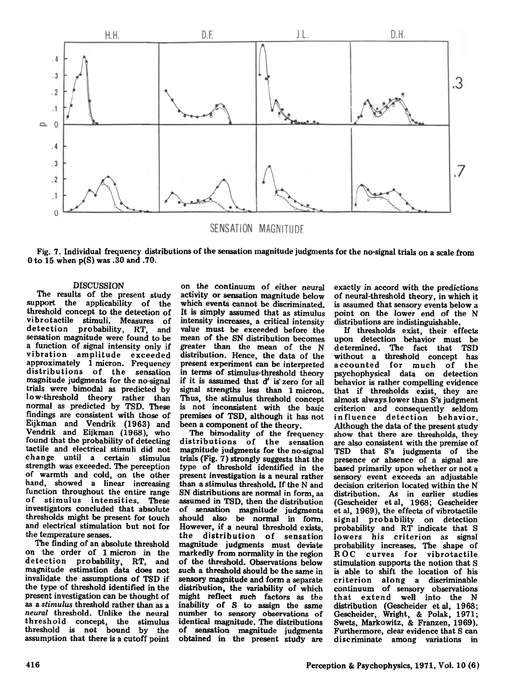

Fig. 7. Individual frequency distributions of the sensation magnitude judgments for the no-signal trials on a scale from oto <sup>15</sup> when p(S) was .30 and .70.

### DISCUSSION

The results of the present study support the applicability of the threshold concept to the detection of vibrotactile stimuli. Measures of detection probability, RT, and sensation magnitude were found to be a function of signal intensity only if vibration amplitude approximately 1 micron. Frequency distributions of the sensation magnitude judgments for the no-signal trials were bimodal as predicted by low-threshold theory rather than normal as predicted by TSD. These findings are consistent with those of Eijkman and Vendrik (1963) and Vendrik and Eijkman (1968), who found that the probability of detecting tactile and electrical stimuli did not change until a certain stimulus strength was exceeded. The perception of warmth and cold, on the other hand, showed a linear increasing function throughout the entire range<br>of stimulus intensities. These of stimulus intensities. investigators concluded that absolute thresholds might be present for touch and electrical stimulation but not for the temperature senses.

The finding of an absolute threshold on the order of 1 micron in the detection probability, RT, and magnitude estimation data does not invalidate the assumptions of TSD if the type of threshold identified in the present investigation can be thought of<br>as a stimulus threshold rather than as a neural threshold. Unlike the neural threshold concept, the stimulus threshold is not bound by the assumption that there is a cutoff point

on the continuum of either neural activity or sensation magnitude below which events cannot be discriminated. It is simply assumed that as stimulus intensity increases, a critical intensity mean of the SN distribution becomes greater than the mean of the N distribution. Hence, the data of the present experiment can be interpreted in terms of stimulus-threshold theory if it is assumed that d' is' zero for all signal strengths less than 1 micron. Thus, the stimulus threshold concept is not inconsistent with the basic premises of TSD, although it has not been a component of the theory.

The bimodality of the frequency distributions of the sensation magnitude judgments for the no-signal trials (Fig. 7) strongly suggests that the type of threshold identified in the present investigation is a neural rather than a stimulus threshold. If the N and SN distributions are normal in form, as assumed in TSD, then the distribution of sensation magnitude judgments should also be normal in form. However, if a neural threshold exists, the distribution of sensation magnitude judgments must deviate markedly from normality in the region of the threshold. Observations below such a threshold should be the same in sensory magnitude and form a separate distribution, the variability of which might reflect such factors as the inability of <sup>S</sup> to assign the same number to sensory observations of identical magnitude. The distributions of sensation magnitude judgments obtained in the present study are

exactly in accord with the predictions of neural-threshold theory, in which it is assumed that sensory events below a point on the lower end of the N distributions are indistinguishable. .

H thresholds exist, their effects upon detection behavior must be determined. The fact that TSD without a threshold concept has accounted for much of the psychophysical data on detection behavior is rather compelling evidence that if thresholds exist, they are almost always lower than S's judgment criterion and consequently seldom in fluence detection behavior. Although the data of the present study show that there are thresholds, they are also consistent with the premise of TSD that S's judgments of the presence or absence of a signal are based primarily upon whether or not a sensory event exceeds an adjustable decision criterion located within the N distribution. As in earlier studies (Gescheider et al, 1968; Gescheider et aI, 1969), the effects of vibrotactile signal probability on detection probability and RT indicate that S lowers his criterion as signal probability increases. The shape of ROC curves for vibrotactile stimulation supports the notion that S is able to shift the location of his cri terion along a discriminable continuum of sensory observations that extend well into the N distribution (Gescheider et al, 1968; Gescheider, Wright, & Polak, 1971; Swets, Markowitz, & Franzen, 1969). Furthermore, clear evidence that S can discriminate among variations in